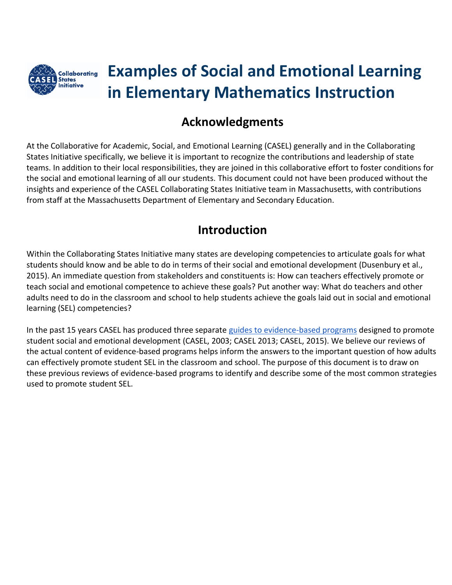

# **Examples of Social and Emotional Learning in Elementary Mathematics Instruction**

## **Acknowledgments**

At the Collaborative for Academic, Social, and Emotional Learning (CASEL) generally and in the Collaborating States Initiative specifically, we believe it is important to recognize the contributions and leadership of state teams. In addition to their local responsibilities, they are joined in this collaborative effort to foster conditions for the social and emotional learning of all our students. This document could not have been produced without the insights and experience of the CASEL Collaborating States Initiative team in Massachusetts, with contributions from staff at the Massachusetts Department of Elementary and Secondary Education.

## **Introduction**

Within the Collaborating States Initiative many states are developing competencies to articulate goals for what students should know and be able to do in terms of their social and emotional development (Dusenbury et al., 2015). An immediate question from stakeholders and constituents is: How can teachers effectively promote or teach social and emotional competence to achieve these goals? Put another way: What do teachers and other adults need to do in the classroom and school to help students achieve the goals laid out in social and emotional learning (SEL) competencies?

In the past 15 years CASEL has produced three separate [guides to evidence-based programs](http://www.casel.org/guide/) designed to promote student social and emotional development (CASEL, 2003; CASEL 2013; CASEL, 2015). We believe our reviews of the actual content of evidence-based programs helps inform the answers to the important question of how adults can effectively promote student SEL in the classroom and school. The purpose of this document is to draw on these previous reviews of evidence-based programs to identify and describe some of the most common strategies used to promote student SEL.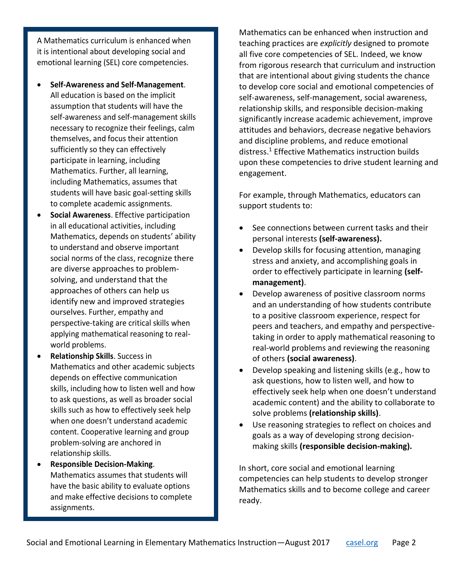A Mathematics curriculum is enhanced when it is intentional about developing social and emotional learning (SEL) core competencies.

- **Self-Awareness and Self-Management**. All education is based on the implicit assumption that students will have the self-awareness and self-management skills necessary to recognize their feelings, calm themselves, and focus their attention sufficiently so they can effectively participate in learning, including Mathematics. Further, all learning, including Mathematics, assumes that students will have basic goal-setting skills to complete academic assignments.
- **Social Awareness**. Effective participation in all educational activities, including Mathematics, depends on students' ability to understand and observe important social norms of the class, recognize there are diverse approaches to problemsolving, and understand that the approaches of others can help us identify new and improved strategies ourselves. Further, empathy and perspective-taking are critical skills when applying mathematical reasoning to realworld problems.
- **Relationship Skills**. Success in Mathematics and other academic subjects depends on effective communication skills, including how to listen well and how to ask questions, as well as broader social skills such as how to effectively seek help when one doesn't understand academic content. Cooperative learning and group problem-solving are anchored in relationship skills.
- **Responsible Decision-Making**. Mathematics assumes that students will have the basic ability to evaluate options and make effective decisions to complete assignments.

Mathematics can be enhanced when instruction and teaching practices are *explicitly* designed to promote all five core competencies of SEL. Indeed, we know from rigorous research that curriculum and instruction that are intentional about giving students the chance to develop core social and emotional competencies of self-awareness, self-management, social awareness, relationship skills, and responsible decision-making significantly increase academic achievement, improve attitudes and behaviors, decrease negative behaviors and discipline problems, and reduce emotional distress.<sup>1</sup> Effective Mathematics instruction builds upon these competencies to drive student learning and engagement.

For example, through Mathematics, educators can support students to:

- See connections between current tasks and their personal interests **(self-awareness).**
- Develop skills for focusing attention, managing stress and anxiety, and accomplishing goals in order to effectively participate in learning **(selfmanagement)**.
- Develop awareness of positive classroom norms and an understanding of how students contribute to a positive classroom experience, respect for peers and teachers, and empathy and perspectivetaking in order to apply mathematical reasoning to real-world problems and reviewing the reasoning of others **(social awareness)**.
- Develop speaking and listening skills (e.g., how to ask questions, how to listen well, and how to effectively seek help when one doesn't understand academic content) and the ability to collaborate to solve problems **(relationship skills)**.
- Use reasoning strategies to reflect on choices and goals as a way of developing strong decisionmaking skills **(responsible decision-making).**

In short, core social and emotional learning competencies can help students to develop stronger Mathematics skills and to become college and career ready.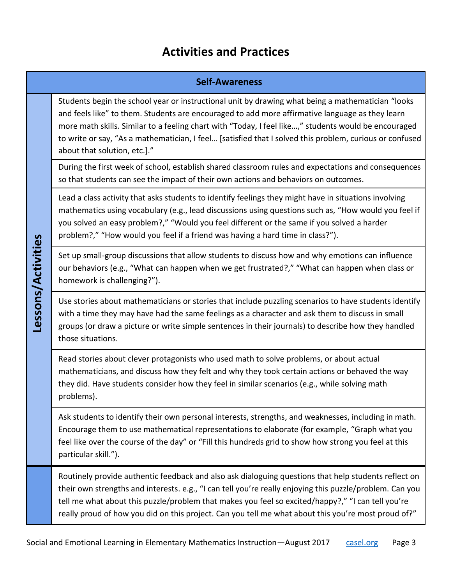### **Activities and Practices**

#### **Self-Awareness**

Students begin the school year or instructional unit by drawing what being a mathematician "looks and feels like" to them. Students are encouraged to add more affirmative language as they learn more math skills. Similar to a feeling chart with "Today, I feel like…," students would be encouraged to write or say, "As a mathematician, I feel… [satisfied that I solved this problem, curious or confused about that solution, etc.]."

During the first week of school, establish shared classroom rules and expectations and consequences so that students can see the impact of their own actions and behaviors on outcomes.

Lead a class activity that asks students to identify feelings they might have in situations involving mathematics using vocabulary (e.g., lead discussions using questions such as, "How would you feel if you solved an easy problem?," "Would you feel different or the same if you solved a harder problem?," "How would you feel if a friend was having a hard time in class?").

Set up small-group discussions that allow students to discuss how and why emotions can influence our behaviors (e.g., "What can happen when we get frustrated?," "What can happen when class or homework is challenging?").

Lessons/Activities **Lessons/Activities**

Use stories about mathematicians or stories that include puzzling scenarios to have students identify with a time they may have had the same feelings as a character and ask them to discuss in small groups (or draw a picture or write simple sentences in their journals) to describe how they handled those situations.

Read stories about clever protagonists who used math to solve problems, or about actual mathematicians, and discuss how they felt and why they took certain actions or behaved the way they did. Have students consider how they feel in similar scenarios (e.g., while solving math problems).

Ask students to identify their own personal interests, strengths, and weaknesses, including in math. Encourage them to use mathematical representations to elaborate (for example, "Graph what you feel like over the course of the day" or "Fill this hundreds grid to show how strong you feel at this particular skill.").

Routinely provide authentic feedback and also ask dialoguing questions that help students reflect on their own strengths and interests. e.g., "I can tell you're really enjoying this puzzle/problem. Can you tell me what about this puzzle/problem that makes you feel so excited/happy?," "I can tell you're really proud of how you did on this project. Can you tell me what about this you're most proud of?"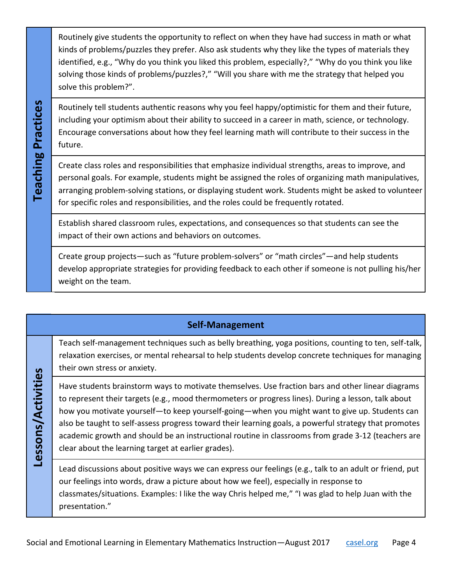Routinely give students the opportunity to reflect on when they have had success in math or what kinds of problems/puzzles they prefer. Also ask students why they like the types of materials they identified, e.g., "Why do you think you liked this problem, especially?," "Why do you think you like solving those kinds of problems/puzzles?," "Will you share with me the strategy that helped you solve this problem?".

Routinely tell students authentic reasons why you feel happy/optimistic for them and their future, including your optimism about their ability to succeed in a career in math, science, or technology. Encourage conversations about how they feel learning math will contribute to their success in the future.

**Teaching Practices**

**Teaching Practices** 

**Lessons/Activities**

Lessons/Activities

Create class roles and responsibilities that emphasize individual strengths, areas to improve, and personal goals. For example, students might be assigned the roles of organizing math manipulatives, arranging problem-solving stations, or displaying student work. Students might be asked to volunteer for specific roles and responsibilities, and the roles could be frequently rotated.

Establish shared classroom rules, expectations, and consequences so that students can see the impact of their own actions and behaviors on outcomes.

Create group projects—such as "future problem-solvers" or "math circles"—and help students develop appropriate strategies for providing feedback to each other if someone is not pulling his/her weight on the team.

#### **Self-Management**

Teach self-management techniques such as belly breathing, yoga positions, counting to ten, self-talk, relaxation exercises, or mental rehearsal to help students develop concrete techniques for managing their own stress or anxiety.

Have students brainstorm ways to motivate themselves. Use fraction bars and other linear diagrams to represent their targets (e.g., mood thermometers or progress lines). During a lesson, talk about how you motivate yourself—to keep yourself-going—when you might want to give up. Students can also be taught to self-assess progress toward their learning goals, a powerful strategy that promotes academic growth and should be an instructional routine in classrooms from grade 3-12 (teachers are clear about the learning target at earlier grades).

Lead discussions about positive ways we can express our feelings (e.g., talk to an adult or friend, put our feelings into words, draw a picture about how we feel), especially in response to classmates/situations. Examples: I like the way Chris helped me," "I was glad to help Juan with the presentation."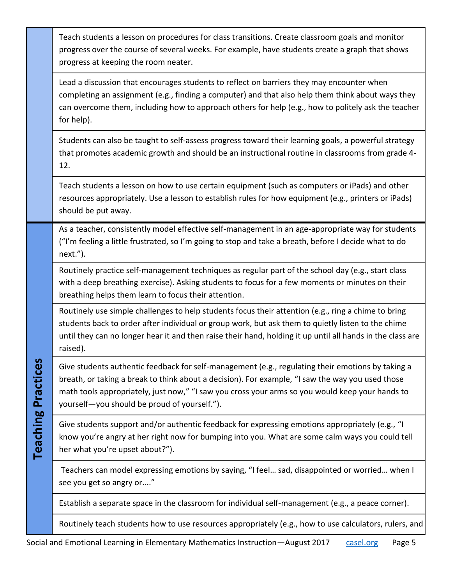|                           | Teach students a lesson on procedures for class transitions. Create classroom goals and monitor<br>progress over the course of several weeks. For example, have students create a graph that shows<br>progress at keeping the room neater.                                                                                                               |
|---------------------------|----------------------------------------------------------------------------------------------------------------------------------------------------------------------------------------------------------------------------------------------------------------------------------------------------------------------------------------------------------|
|                           | Lead a discussion that encourages students to reflect on barriers they may encounter when<br>completing an assignment (e.g., finding a computer) and that also help them think about ways they<br>can overcome them, including how to approach others for help (e.g., how to politely ask the teacher<br>for help).                                      |
|                           | Students can also be taught to self-assess progress toward their learning goals, a powerful strategy<br>that promotes academic growth and should be an instructional routine in classrooms from grade 4-<br>12.                                                                                                                                          |
|                           | Teach students a lesson on how to use certain equipment (such as computers or iPads) and other<br>resources appropriately. Use a lesson to establish rules for how equipment (e.g., printers or iPads)<br>should be put away.                                                                                                                            |
| <b>Teaching Practices</b> | As a teacher, consistently model effective self-management in an age-appropriate way for students<br>("I'm feeling a little frustrated, so I'm going to stop and take a breath, before I decide what to do<br>next.").                                                                                                                                   |
|                           | Routinely practice self-management techniques as regular part of the school day (e.g., start class<br>with a deep breathing exercise). Asking students to focus for a few moments or minutes on their<br>breathing helps them learn to focus their attention.                                                                                            |
|                           | Routinely use simple challenges to help students focus their attention (e.g., ring a chime to bring<br>students back to order after individual or group work, but ask them to quietly listen to the chime<br>until they can no longer hear it and then raise their hand, holding it up until all hands in the class are<br>raised).                      |
|                           | Give students authentic feedback for self-management (e.g., regulating their emotions by taking a<br>breath, or taking a break to think about a decision). For example, "I saw the way you used those<br>math tools appropriately, just now," "I saw you cross your arms so you would keep your hands to<br>yourself-you should be proud of yourself."). |
|                           | Give students support and/or authentic feedback for expressing emotions appropriately (e.g., "I<br>know you're angry at her right now for bumping into you. What are some calm ways you could tell<br>her what you're upset about?").                                                                                                                    |
|                           | Teachers can model expressing emotions by saying, "I feel sad, disappointed or worried when I<br>see you get so angry or"                                                                                                                                                                                                                                |
|                           | Establish a separate space in the classroom for individual self-management (e.g., a peace corner).                                                                                                                                                                                                                                                       |
|                           | Routinely teach students how to use resources appropriately (e.g., how to use calculators, rulers, and                                                                                                                                                                                                                                                   |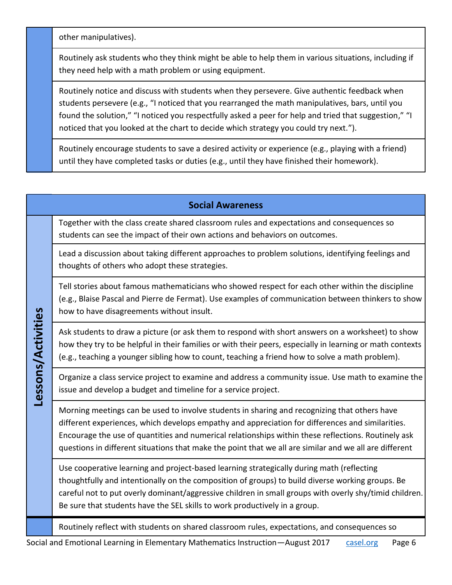other manipulatives).

Routinely ask students who they think might be able to help them in various situations, including if they need help with a math problem or using equipment.

Routinely notice and discuss with students when they persevere. Give authentic feedback when students persevere (e.g., "I noticed that you rearranged the math manipulatives, bars, until you found the solution," "I noticed you respectfully asked a peer for help and tried that suggestion," "I noticed that you looked at the chart to decide which strategy you could try next.").

Routinely encourage students to save a desired activity or experience (e.g., playing with a friend) until they have completed tasks or duties (e.g., until they have finished their homework).

| <b>Social Awareness</b> |                                                                                                                                                                                                                                                                                                                                                                                                                   |  |  |
|-------------------------|-------------------------------------------------------------------------------------------------------------------------------------------------------------------------------------------------------------------------------------------------------------------------------------------------------------------------------------------------------------------------------------------------------------------|--|--|
| Lessons/Activities      | Together with the class create shared classroom rules and expectations and consequences so<br>students can see the impact of their own actions and behaviors on outcomes.                                                                                                                                                                                                                                         |  |  |
|                         | Lead a discussion about taking different approaches to problem solutions, identifying feelings and<br>thoughts of others who adopt these strategies.                                                                                                                                                                                                                                                              |  |  |
|                         | Tell stories about famous mathematicians who showed respect for each other within the discipline<br>(e.g., Blaise Pascal and Pierre de Fermat). Use examples of communication between thinkers to show<br>how to have disagreements without insult.                                                                                                                                                               |  |  |
|                         | Ask students to draw a picture (or ask them to respond with short answers on a worksheet) to show<br>how they try to be helpful in their families or with their peers, especially in learning or math contexts<br>(e.g., teaching a younger sibling how to count, teaching a friend how to solve a math problem).                                                                                                 |  |  |
|                         | Organize a class service project to examine and address a community issue. Use math to examine the<br>issue and develop a budget and timeline for a service project.                                                                                                                                                                                                                                              |  |  |
|                         | Morning meetings can be used to involve students in sharing and recognizing that others have<br>different experiences, which develops empathy and appreciation for differences and similarities.<br>Encourage the use of quantities and numerical relationships within these reflections. Routinely ask<br>questions in different situations that make the point that we all are similar and we all are different |  |  |
|                         | Use cooperative learning and project-based learning strategically during math (reflecting<br>thoughtfully and intentionally on the composition of groups) to build diverse working groups. Be<br>careful not to put overly dominant/aggressive children in small groups with overly shy/timid children.<br>Be sure that students have the SEL skills to work productively in a group.                             |  |  |
|                         | Routinely reflect with students on shared classroom rules, expectations, and consequences so                                                                                                                                                                                                                                                                                                                      |  |  |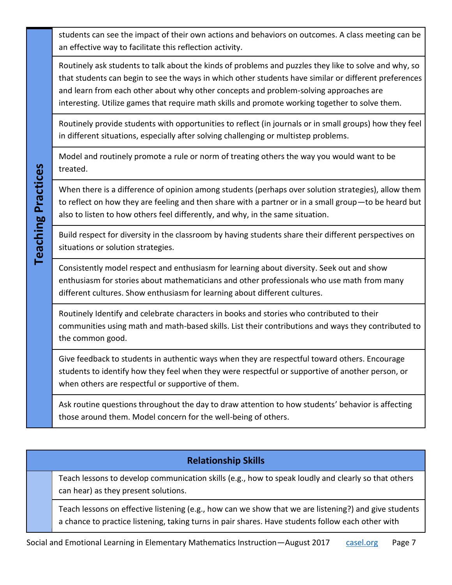students can see the impact of their own actions and behaviors on outcomes. A class meeting can be an effective way to facilitate this reflection activity.

Routinely ask students to talk about the kinds of problems and puzzles they like to solve and why, so that students can begin to see the ways in which other students have similar or different preferences and learn from each other about why other concepts and problem-solving approaches are interesting. Utilize games that require math skills and promote working together to solve them.

Routinely provide students with opportunities to reflect (in journals or in small groups) how they feel in different situations, especially after solving challenging or multistep problems.

Model and routinely promote a rule or norm of treating others the way you would want to be treated.

**Teaching Practices Teaching Practices**

When there is a difference of opinion among students (perhaps over solution strategies), allow them to reflect on how they are feeling and then share with a partner or in a small group—to be heard but also to listen to how others feel differently, and why, in the same situation.

Build respect for diversity in the classroom by having students share their different perspectives on situations or solution strategies.

Consistently model respect and enthusiasm for learning about diversity. Seek out and show enthusiasm for stories about mathematicians and other professionals who use math from many different cultures. Show enthusiasm for learning about different cultures.

Routinely Identify and celebrate characters in books and stories who contributed to their communities using math and math-based skills. List their contributions and ways they contributed to the common good.

Give feedback to students in authentic ways when they are respectful toward others. Encourage students to identify how they feel when they were respectful or supportive of another person, or when others are respectful or supportive of them.

Ask routine questions throughout the day to draw attention to how students' behavior is affecting those around them. Model concern for the well-being of others.

#### **Relationship Skills**

Teach lessons to develop communication skills (e.g., how to speak loudly and clearly so that others can hear) as they present solutions.

Teach lessons on effective listening (e.g., how can we show that we are listening?) and give students a chance to practice listening, taking turns in pair shares. Have students follow each other with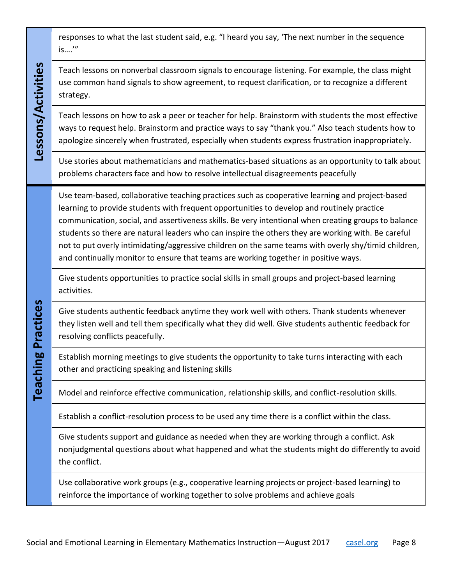| Lessons/Activities               | responses to what the last student said, e.g. "I heard you say, 'The next number in the sequence<br>is'"                                                                                                                                                                                                                                                                                                                                                                                                                                                                                                   |
|----------------------------------|------------------------------------------------------------------------------------------------------------------------------------------------------------------------------------------------------------------------------------------------------------------------------------------------------------------------------------------------------------------------------------------------------------------------------------------------------------------------------------------------------------------------------------------------------------------------------------------------------------|
|                                  | Teach lessons on nonverbal classroom signals to encourage listening. For example, the class might<br>use common hand signals to show agreement, to request clarification, or to recognize a different<br>strategy.                                                                                                                                                                                                                                                                                                                                                                                         |
|                                  | Teach lessons on how to ask a peer or teacher for help. Brainstorm with students the most effective<br>ways to request help. Brainstorm and practice ways to say "thank you." Also teach students how to<br>apologize sincerely when frustrated, especially when students express frustration inappropriately.                                                                                                                                                                                                                                                                                             |
|                                  | Use stories about mathematicians and mathematics-based situations as an opportunity to talk about<br>problems characters face and how to resolve intellectual disagreements peacefully                                                                                                                                                                                                                                                                                                                                                                                                                     |
| Practices<br><u>ဗ</u><br>Teachii | Use team-based, collaborative teaching practices such as cooperative learning and project-based<br>learning to provide students with frequent opportunities to develop and routinely practice<br>communication, social, and assertiveness skills. Be very intentional when creating groups to balance<br>students so there are natural leaders who can inspire the others they are working with. Be careful<br>not to put overly intimidating/aggressive children on the same teams with overly shy/timid children,<br>and continually monitor to ensure that teams are working together in positive ways. |
|                                  | Give students opportunities to practice social skills in small groups and project-based learning<br>activities.                                                                                                                                                                                                                                                                                                                                                                                                                                                                                            |
|                                  | Give students authentic feedback anytime they work well with others. Thank students whenever<br>they listen well and tell them specifically what they did well. Give students authentic feedback for<br>resolving conflicts peacefully.                                                                                                                                                                                                                                                                                                                                                                    |
|                                  | Establish morning meetings to give students the opportunity to take turns interacting with each<br>other and practicing speaking and listening skills                                                                                                                                                                                                                                                                                                                                                                                                                                                      |
|                                  | Model and reinforce effective communication, relationship skills, and conflict-resolution skills.                                                                                                                                                                                                                                                                                                                                                                                                                                                                                                          |
|                                  | Establish a conflict-resolution process to be used any time there is a conflict within the class.                                                                                                                                                                                                                                                                                                                                                                                                                                                                                                          |
|                                  | Give students support and guidance as needed when they are working through a conflict. Ask<br>nonjudgmental questions about what happened and what the students might do differently to avoid<br>the conflict.                                                                                                                                                                                                                                                                                                                                                                                             |
|                                  | Use collaborative work groups (e.g., cooperative learning projects or project-based learning) to<br>reinforce the importance of working together to solve problems and achieve goals                                                                                                                                                                                                                                                                                                                                                                                                                       |

T

٦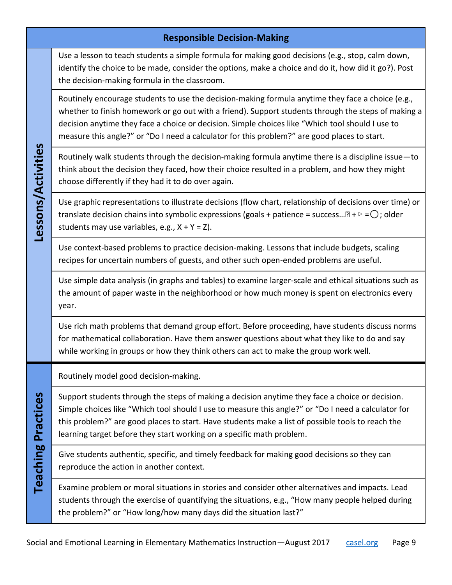|                           | <b>Responsible Decision-Making</b>                                                                                                                                                                                                                                                                                                                                                                           |
|---------------------------|--------------------------------------------------------------------------------------------------------------------------------------------------------------------------------------------------------------------------------------------------------------------------------------------------------------------------------------------------------------------------------------------------------------|
| Lessons/Activities        | Use a lesson to teach students a simple formula for making good decisions (e.g., stop, calm down,<br>identify the choice to be made, consider the options, make a choice and do it, how did it go?). Post<br>the decision-making formula in the classroom.                                                                                                                                                   |
|                           | Routinely encourage students to use the decision-making formula anytime they face a choice (e.g.,<br>whether to finish homework or go out with a friend). Support students through the steps of making a<br>decision anytime they face a choice or decision. Simple choices like "Which tool should I use to<br>measure this angle?" or "Do I need a calculator for this problem?" are good places to start. |
|                           | Routinely walk students through the decision-making formula anytime there is a discipline issue-to<br>think about the decision they faced, how their choice resulted in a problem, and how they might<br>choose differently if they had it to do over again.                                                                                                                                                 |
|                           | Use graphic representations to illustrate decisions (flow chart, relationship of decisions over time) or<br>translate decision chains into symbolic expressions (goals + patience = success $\mathbb{B}$ + $\triangleright$ = $\bigcirc$ ; older<br>students may use variables, e.g., $X + Y = Z$ ).                                                                                                         |
|                           | Use context-based problems to practice decision-making. Lessons that include budgets, scaling<br>recipes for uncertain numbers of guests, and other such open-ended problems are useful.                                                                                                                                                                                                                     |
|                           | Use simple data analysis (in graphs and tables) to examine larger-scale and ethical situations such as<br>the amount of paper waste in the neighborhood or how much money is spent on electronics every<br>year.                                                                                                                                                                                             |
|                           | Use rich math problems that demand group effort. Before proceeding, have students discuss norms<br>for mathematical collaboration. Have them answer questions about what they like to do and say<br>while working in groups or how they think others can act to make the group work well.                                                                                                                    |
|                           | Routinely model good decision-making.                                                                                                                                                                                                                                                                                                                                                                        |
| <b>Teaching Practices</b> | Support students through the steps of making a decision anytime they face a choice or decision.<br>Simple choices like "Which tool should I use to measure this angle?" or "Do I need a calculator for<br>this problem?" are good places to start. Have students make a list of possible tools to reach the<br>learning target before they start working on a specific math problem.                         |
|                           | Give students authentic, specific, and timely feedback for making good decisions so they can<br>reproduce the action in another context.                                                                                                                                                                                                                                                                     |
|                           | Examine problem or moral situations in stories and consider other alternatives and impacts. Lead<br>students through the exercise of quantifying the situations, e.g., "How many people helped during<br>the problem?" or "How long/how many days did the situation last?"                                                                                                                                   |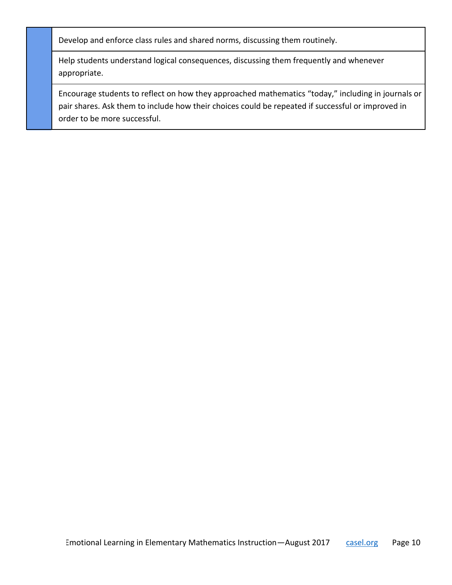Develop and enforce class rules and shared norms, discussing them routinely.

Help students understand logical consequences, discussing them frequently and whenever appropriate.

Encourage students to reflect on how they approached mathematics "today," including in journals or pair shares. Ask them to include how their choices could be repeated if successful or improved in order to be more successful.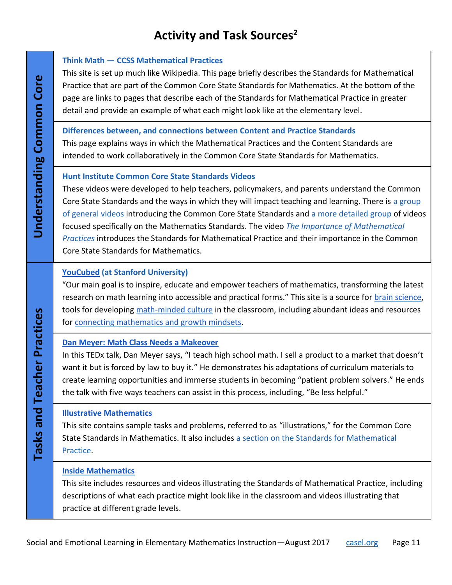## **Activity and Task Sources<sup>2</sup>**

| Core<br>Common<br>Understanding    | <b>Think Math - CCSS Mathematical Practices</b><br>This site is set up much like Wikipedia. This page briefly describes the Standards for Mathematical<br>Practice that are part of the Common Core State Standards for Mathematics. At the bottom of the<br>page are links to pages that describe each of the Standards for Mathematical Practice in greater<br>detail and provide an example of what each might look like at the elementary level.                                                                                                                                                             |
|------------------------------------|------------------------------------------------------------------------------------------------------------------------------------------------------------------------------------------------------------------------------------------------------------------------------------------------------------------------------------------------------------------------------------------------------------------------------------------------------------------------------------------------------------------------------------------------------------------------------------------------------------------|
|                                    | Differences between, and connections between Content and Practice Standards<br>This page explains ways in which the Mathematical Practices and the Content Standards are<br>intended to work collaboratively in the Common Core State Standards for Mathematics.                                                                                                                                                                                                                                                                                                                                                 |
|                                    | <b>Hunt Institute Common Core State Standards Videos</b><br>These videos were developed to help teachers, policymakers, and parents understand the Common<br>Core State Standards and the ways in which they will impact teaching and learning. There is a group<br>of general videos introducing the Common Core State Standards and a more detailed group of videos<br>focused specifically on the Mathematics Standards. The video The Importance of Mathematical<br>Practices introduces the Standards for Mathematical Practice and their importance in the Common<br>Core State Standards for Mathematics. |
| Practices<br>cher<br>Tasks and Tea | <b>YouCubed (at Stanford University)</b><br>"Our main goal is to inspire, educate and empower teachers of mathematics, transforming the latest<br>research on math learning into accessible and practical forms." This site is a source for brain science,<br>tools for developing math-minded culture in the classroom, including abundant ideas and resources<br>for connecting mathematics and growth mindsets.                                                                                                                                                                                               |
|                                    | <b>Dan Meyer: Math Class Needs a Makeover</b><br>In this TEDx talk, Dan Meyer says, "I teach high school math. I sell a product to a market that doesn't<br>want it but is forced by law to buy it." He demonstrates his adaptations of curriculum materials to<br>create learning opportunities and immerse students in becoming "patient problem solvers." He ends<br>the talk with five ways teachers can assist in this process, including, "Be less helpful."                                                                                                                                               |
|                                    | <b>Illustrative Mathematics</b><br>This site contains sample tasks and problems, referred to as "illustrations," for the Common Core<br>State Standards in Mathematics. It also includes a section on the Standards for Mathematical<br>Practice.                                                                                                                                                                                                                                                                                                                                                                |
|                                    | <b>Inside Mathematics</b><br>This site includes resources and videos illustrating the Standards of Mathematical Practice, including<br>descriptions of what each practice might look like in the classroom and videos illustrating that<br>practice at different grade levels.                                                                                                                                                                                                                                                                                                                                   |